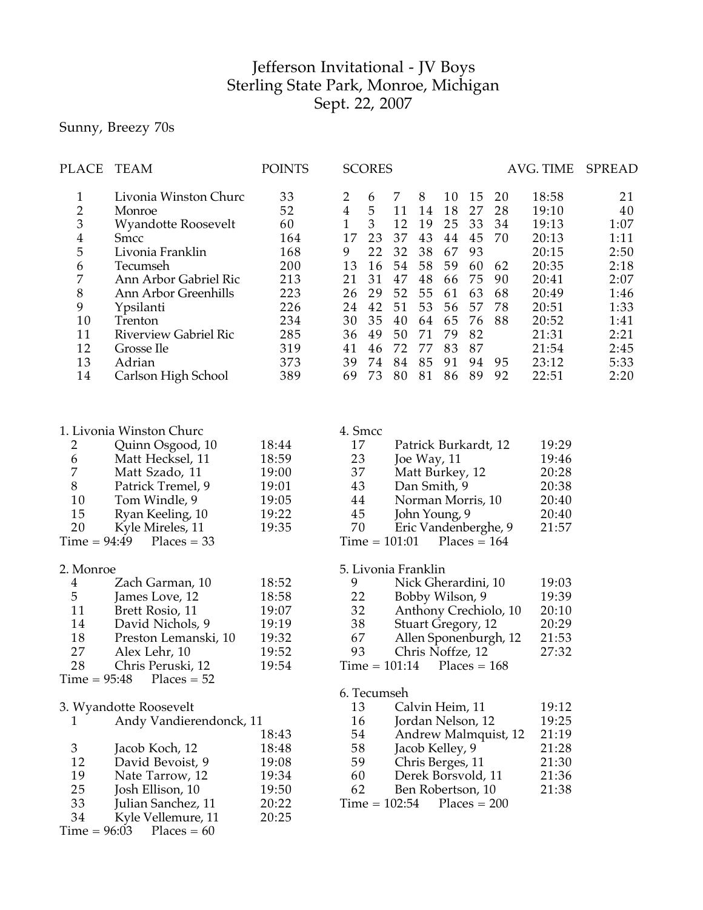## Jefferson Invitational - JV Boys Sterling State Park, Monroe, Michigan Sept. 22, 2007

Sunny, Breezy 70s

| PLACE                                                                                                                      | <b>TEAM</b>                                                                                                                                                                                                                                                                                                                 | <b>POINTS</b>                                                                                                              | <b>SCORES</b>                                                                                                                                                                                      |                                                                                                                                                                                                                                                                                                                                              | AVG. TIME                                                                                                                                                                                    | SPREAD                                                                                                   |
|----------------------------------------------------------------------------------------------------------------------------|-----------------------------------------------------------------------------------------------------------------------------------------------------------------------------------------------------------------------------------------------------------------------------------------------------------------------------|----------------------------------------------------------------------------------------------------------------------------|----------------------------------------------------------------------------------------------------------------------------------------------------------------------------------------------------|----------------------------------------------------------------------------------------------------------------------------------------------------------------------------------------------------------------------------------------------------------------------------------------------------------------------------------------------|----------------------------------------------------------------------------------------------------------------------------------------------------------------------------------------------|----------------------------------------------------------------------------------------------------------|
| $\mathbf{1}$<br>$\overline{2}$<br>3<br>4<br>5<br>6<br>$\boldsymbol{7}$<br>$8\,$<br>9<br>10<br>11<br>12<br>13<br>14         | Livonia Winston Churc<br>Monroe<br><b>Wyandotte Roosevelt</b><br>Smcc<br>Livonia Franklin<br>Tecumseh<br>Ann Arbor Gabriel Ric<br>Ann Arbor Greenhills<br>Ypsilanti<br>Trenton<br><b>Riverview Gabriel Ric</b><br>Grosse Ile<br>Adrian<br>Carlson High School                                                               | 33<br>52<br>60<br>164<br>168<br>200<br>213<br>223<br>226<br>234<br>285<br>319<br>373<br>389                                | 2<br>6<br>$\overline{4}$<br>5<br>$\mathfrak{Z}$<br>$\mathbf{1}$<br>17<br>23<br>22<br>9<br>13<br>16<br>31<br>21<br>26<br>29<br>42<br>24<br>35<br>30<br>36<br>49<br>46<br>41<br>39<br>74<br>73<br>69 | 8<br>7<br>10<br>15<br>11<br>18<br>27<br>14<br>12<br>33<br>19<br>25<br>37<br>43<br>44<br>45<br>32<br>38<br>67<br>93<br>58<br>54<br>59<br>60<br>47<br>48<br>75<br>66<br>52<br>55<br>63<br>61<br>53<br>51<br>56<br>57<br>76<br>40<br>64<br>65<br>50<br>71<br>79<br>82<br>72<br>77<br>83<br>87<br>85<br>84<br>91<br>94<br>80<br>81<br>86<br>89   | 18:58<br>20<br>28<br>19:10<br>34<br>19:13<br>70<br>20:13<br>20:15<br>20:35<br>62<br>90<br>20:41<br>68<br>20:49<br>78<br>20:51<br>88<br>20:52<br>21:31<br>21:54<br>23:12<br>95<br>92<br>22:51 | 21<br>40<br>1:07<br>1:11<br>2:50<br>2:18<br>2:07<br>1:46<br>1:33<br>1:41<br>2:21<br>2:45<br>5:33<br>2:20 |
| 2<br>6<br>7<br>$8\,$<br>10<br>15<br>20<br>$Time = 94:49$<br>2. Monroe<br>$\overline{4}$<br>5<br>11<br>14<br>18<br>27<br>28 | 1. Livonia Winston Churc<br>Quinn Osgood, 10<br>Matt Hecksel, 11<br>Matt Szado, 11<br>Patrick Tremel, 9<br>Tom Windle, 9<br>Ryan Keeling, 10<br>Kyle Mireles, 11<br>$Places = 33$<br>Zach Garman, 10<br>James Love, 12<br>Brett Rosio, 11<br>David Nichols, 9<br>Preston Lemanski, 10<br>Alex Lehr, 10<br>Chris Peruski, 12 | 18:44<br>18:59<br>19:00<br>19:01<br>19:05<br>19:22<br>19:35<br>18:52<br>18:58<br>19:07<br>19:19<br>19:32<br>19:52<br>19:54 | 4. Smcc<br>17<br>23<br>37<br>43<br>44<br>45<br>70<br>$Time = 101:01$<br>9<br>22<br>32<br>38<br>67<br>93<br>$Time = 101:14$                                                                         | Patrick Burkardt, 12<br>Joe Way, 11<br>Matt Burkey, 12<br>Dan Smith, 9<br>Norman Morris, 10<br>John Young, 9<br>Eric Vandenberghe, 9<br>$Places = 164$<br>5. Livonia Franklin<br>Nick Gherardini, 10<br>Bobby Wilson, 9<br>Anthony Crechiolo, 10<br><b>Stuart Gregory, 12</b><br>Allen Sponenburgh, 12<br>Chris Noffze, 12<br>$Places = 168$ | 19:29<br>19:46<br>20:28<br>20:38<br>20:40<br>20:40<br>21:57<br>19:03<br>19:39<br>20:10<br>20:29<br>21:53<br>27:32                                                                            |                                                                                                          |
| Time = 95:48<br>1<br>3<br>12<br>19<br>25<br>33<br>34<br>$Time = 96:03$                                                     | $Places = 52$<br>3. Wyandotte Roosevelt<br>Andy Vandierendonck, 11<br>Jacob Koch, 12<br>David Bevoist, 9<br>Nate Tarrow, 12<br>Josh Ellison, 10<br>Julian Sanchez, 11<br>Kyle Vellemure, 11<br>$Places = 60$                                                                                                                | 18:43<br>18:48<br>19:08<br>19:34<br>19:50<br>20:22<br>20:25                                                                | 6. Tecumseh<br>13<br>16<br>54<br>58<br>59<br>60<br>62<br>$Time = 102:54$                                                                                                                           | Calvin Heim, 11<br>Jordan Nelson, 12<br>Andrew Malmquist, 12<br>Jacob Kelley, 9<br>Chris Berges, 11<br>Derek Borsvold, 11<br>Ben Robertson, 10<br>$Places = 200$                                                                                                                                                                             | 19:12<br>19:25<br>21:19<br>21:28<br>21:30<br>21:36<br>21:38                                                                                                                                  |                                                                                                          |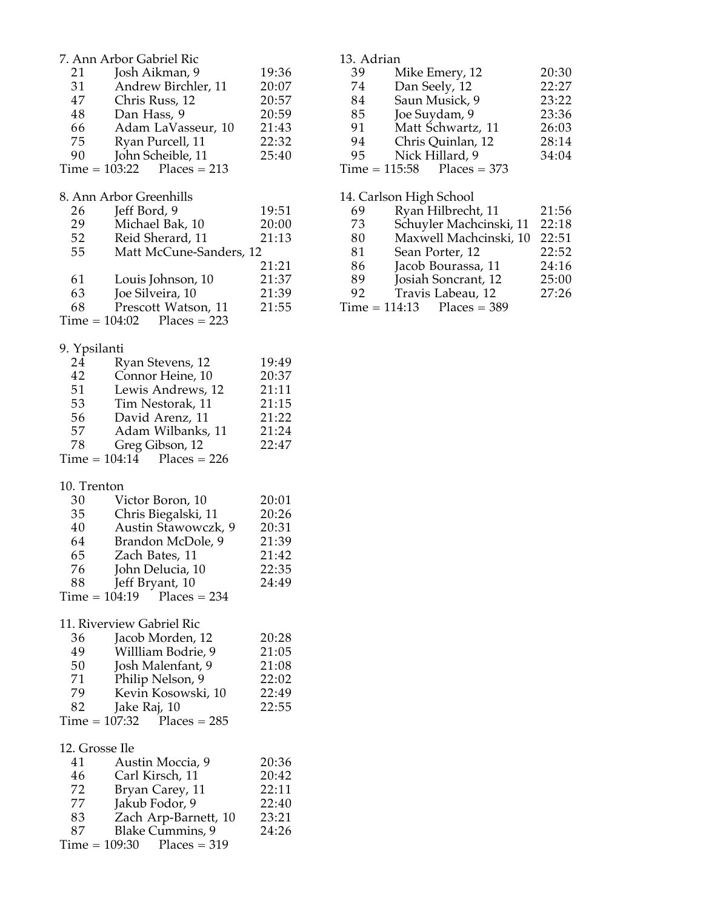|                | 7. Ann Arbor Gabriel Ric          |       | 13. |
|----------------|-----------------------------------|-------|-----|
| 21             | Josh Aikman, 9                    | 19:36 | 3   |
| 31             | Andrew Birchler, 11               | 20:07 | 7   |
| 47             | Chris Russ, 12                    | 20:57 | 8   |
| 48             | Dan Hass, 9                       | 20:59 | 8   |
| 66             | Adam LaVasseur, 10                | 21:43 | 9   |
| 75             | Ryan Purcell, 11                  | 22:32 | 9   |
| 90             | John Scheible, 11                 | 25:40 | 9   |
|                | $Time = 103:22$ Places = 213      |       | Tin |
|                |                                   |       |     |
|                | 8. Ann Arbor Greenhills           |       | 14. |
| 26             | Jeff Bord, 9                      | 19:51 | 6   |
| 29             | Michael Bak, 10                   | 20:00 | 7   |
| 52             | Reid Sherard, 11                  | 21:13 | 8   |
| 55             | Matt McCune-Sanders, 12           |       | 8   |
|                |                                   | 21:21 | 8   |
| 61             |                                   |       | 8   |
|                | Louis Johnson, 10                 | 21:37 |     |
| 63             | Joe Silveira, 10                  | 21:39 | 9   |
| 68             | Prescott Watson, 11               | 21:55 | Tin |
|                | $Time = 104:02$ Places = 223      |       |     |
| 9. Ypsilanti   |                                   |       |     |
| 24             |                                   | 19:49 |     |
|                | Ryan Stevens, 12                  |       |     |
| 42             | Connor Heine, 10                  | 20:37 |     |
| 51             | Lewis Andrews, 12                 | 21:11 |     |
| 53             | Tim Nestorak, 11                  | 21:15 |     |
| 56             | David Arenz, 11                   | 21:22 |     |
| 57             | Adam Wilbanks, 11                 | 21:24 |     |
| 78             | Greg Gibson, 12                   | 22:47 |     |
|                | $Time = 104:14$ Places = 226      |       |     |
|                |                                   |       |     |
| 10. Trenton    |                                   |       |     |
| 30             | Victor Boron, 10                  | 20:01 |     |
| 35             | Chris Biegalski, 11               | 20:26 |     |
| 40             | Austin Stawowczk, 9               | 20:31 |     |
| 64             | Brandon McDole, 9                 | 21:39 |     |
| 65             | Zach Bates, 11                    | 21:42 |     |
| 76             | John Delucia, 10                  | 22:35 |     |
| 88 -           | Jeff Bryant, 10                   | 24:49 |     |
|                | $Time = 104:19$<br>$Places = 234$ |       |     |
|                |                                   |       |     |
|                | 11. Riverview Gabriel Ric         |       |     |
| 36             | Jacob Morden, 12                  | 20:28 |     |
| 49             | Willliam Bodrie, 9                | 21:05 |     |
| 50             | Josh Malenfant, 9                 | 21:08 |     |
| 71             | Philip Nelson, 9                  | 22:02 |     |
| 79             | Kevin Kosowski, 10                | 22:49 |     |
| 82             | Jake Raj, 10                      | 22:55 |     |
|                | $Time = 107:32$ Places = 285      |       |     |
|                |                                   |       |     |
| 12. Grosse Ile |                                   |       |     |
| 41             | Austin Moccia, 9                  | 20:36 |     |
| 46             | Carl Kirsch, 11                   | 20:42 |     |
| 72             | Bryan Carey, 11                   | 22:11 |     |
| 77             | Jakub Fodor, 9                    | 22:40 |     |
| 83             | Zach Arp-Barnett, 10              | 23:21 |     |
| 87             | <b>Blake Cummins, 9</b>           | 24:26 |     |
|                | $Time = 109:30$ Places = 319      |       |     |
|                |                                   |       |     |

| 13. Adrian |                              |       |
|------------|------------------------------|-------|
| 39         | Mike Emery, 12               | 20:30 |
| 74         | Dan Seely, 12                | 22:27 |
| 84         | Saun Musick, 9               | 23:22 |
| 85         | Joe Suydam, 9                | 23:36 |
| 91         | Matt Schwartz, 11            | 26:03 |
| 94         | Chris Quinlan, 12            | 28:14 |
| 95         | Nick Hillard, 9              | 34:04 |
|            | $Time = 115:58$ Places = 373 |       |
|            |                              |       |

## 14. Carlson High School Ryan Hilbrecht, 11 21:56 Schuyler Machcinski, 11 22:18

- 80 Maxwell Machcinski, 10 22:51<br>81 Sean Porter, 12 22:52 1 Sean Porter, 12 22:52<br>6 Jacob Bourassa, 11 24:16 86 Jacob Bourassa, 11 24:16<br>89 Josiah Soncrant, 12 25:00 9 Josiah Soncrant, 12 25:00<br>2 Travis Labeau, 12 27:26 Travis Labeau, 12<br>ne = 114:13 Places = 38
- $Places = 389$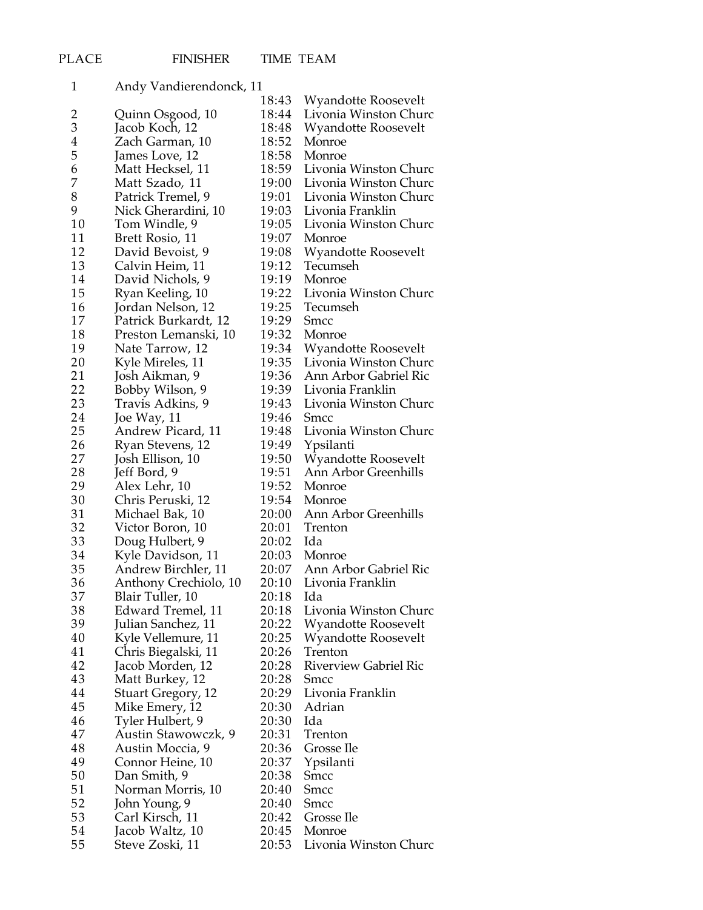| $\mathbf{1}$   | Andy Vandierendonck, 11   |       |                                              |
|----------------|---------------------------|-------|----------------------------------------------|
|                |                           | 18:43 | Wyandotte Roosevelt                          |
| $\overline{c}$ | Quinn Osgood, 10          | 18:44 | Livonia Winston Churc                        |
| 3              | Jacob Koch, 12            | 18:48 | Wyandotte Roosevelt                          |
| 4              | Zach Garman, 10           | 18:52 | Monroe                                       |
| 5              | James Love, 12            | 18:58 | Monroe                                       |
| 6              | Matt Hecksel, 11          | 18:59 | Livonia Winston Churc                        |
| 7              | Matt Szado, 11            | 19:00 | Livonia Winston Churc                        |
| 8              | Patrick Tremel, 9         | 19:01 | Livonia Winston Churc                        |
| 9              | Nick Gherardini, 10       | 19:03 | Livonia Franklin                             |
| 10             | Tom Windle, 9             | 19:05 | Livonia Winston Churc                        |
| 11             | Brett Rosio, 11           | 19:07 | Monroe                                       |
| 12             | David Bevoist, 9          | 19:08 | Wyandotte Roosevelt                          |
| 13             | Calvin Heim, 11           | 19:12 | Tecumseh                                     |
| 14             | David Nichols, 9          | 19:19 | Monroe                                       |
| 15             | Ryan Keeling, 10          | 19:22 | Livonia Winston Churc                        |
| 16             | Jordan Nelson, 12         | 19:25 | Tecumseh                                     |
| 17             | Patrick Burkardt, 12      | 19:29 | <b>Smcc</b>                                  |
| 18             | Preston Lemanski, 10      | 19:32 | Monroe                                       |
| 19             | Nate Tarrow, 12           | 19:34 |                                              |
| 20             | Kyle Mireles, 11          | 19:35 | Wyandotte Roosevelt<br>Livonia Winston Churc |
| 21             |                           | 19:36 | Ann Arbor Gabriel Ric                        |
| 22             | Josh Aikman, 9            | 19:39 |                                              |
| 23             | Bobby Wilson, 9           | 19:43 | Livonia Franklin<br>Livonia Winston Churc    |
| 24             | Travis Adkins, 9          |       |                                              |
| 25             | Joe Way, 11               | 19:46 | <b>Smcc</b>                                  |
|                | Andrew Picard, 11         | 19:48 | Livonia Winston Churc                        |
| 26             | Ryan Stevens, 12          | 19:49 | Ypsilanti                                    |
| 27             | Josh Ellison, 10          | 19:50 | <b>Wyandotte Roosevelt</b>                   |
| 28             | Jeff Bord, 9              | 19:51 | Ann Arbor Greenhills                         |
| 29             | Alex Lehr, 10             | 19:52 | Monroe                                       |
| 30             | Chris Peruski, 12         | 19:54 | Monroe                                       |
| 31             | Michael Bak, 10           | 20:00 | Ann Arbor Greenhills                         |
| 32             | Victor Boron, 10          | 20:01 | Trenton                                      |
| 33             | Doug Hulbert, 9           | 20:02 | Ida                                          |
| 34             | Kyle Davidson, 11         | 20:03 | Monroe                                       |
| 35             | Andrew Birchler, 11       | 20:07 | Ann Arbor Gabriel Ric                        |
| 36             | Anthony Crechiolo, 10     | 20:10 | Livonia Franklin                             |
| 37             | Blair Tuller, 10          | 20:18 | Ida                                          |
| 38             | Edward Tremel, 11         | 20:18 | Livonia Winston Churc                        |
| 39             | Julian Sanchez, 11        | 20:22 | Wyandotte Roosevelt                          |
| 40             | Kyle Vellemure, 11        | 20:25 | <b>Wyandotte Roosevelt</b>                   |
| 41             | Chris Biegalski, 11       | 20:26 | Trenton                                      |
| 42             | Jacob Morden, 12          | 20:28 | <b>Riverview Gabriel Ric</b>                 |
| 43             | Matt Burkey, 12           | 20:28 | <b>Smcc</b>                                  |
| 44             | <b>Stuart Gregory, 12</b> | 20:29 | Livonia Franklin                             |
| 45             | Mike Emery, 12            | 20:30 | Adrian                                       |
| 46             | Tyler Hulbert, 9          | 20:30 | Ida                                          |
| 47             | Austin Stawowczk, 9       | 20:31 | Trenton                                      |
| 48             | Austin Moccia, 9          | 20:36 | Grosse Ile                                   |
| 49             | Connor Heine, 10          | 20:37 | Ypsilanti                                    |
| 50             | Dan Smith, 9              | 20:38 | Smcc                                         |
| 51             | Norman Morris, 10         | 20:40 | <b>Smcc</b>                                  |
| 52             | John Young, 9             | 20:40 | <b>Smcc</b>                                  |
| 53             | Carl Kirsch, 11           | 20:42 | Grosse Ile                                   |
| 54             | Jacob Waltz, 10           | 20:45 | Monroe                                       |
| 55             | Steve Zoski, 11           | 20:53 | Livonia Winston Churc                        |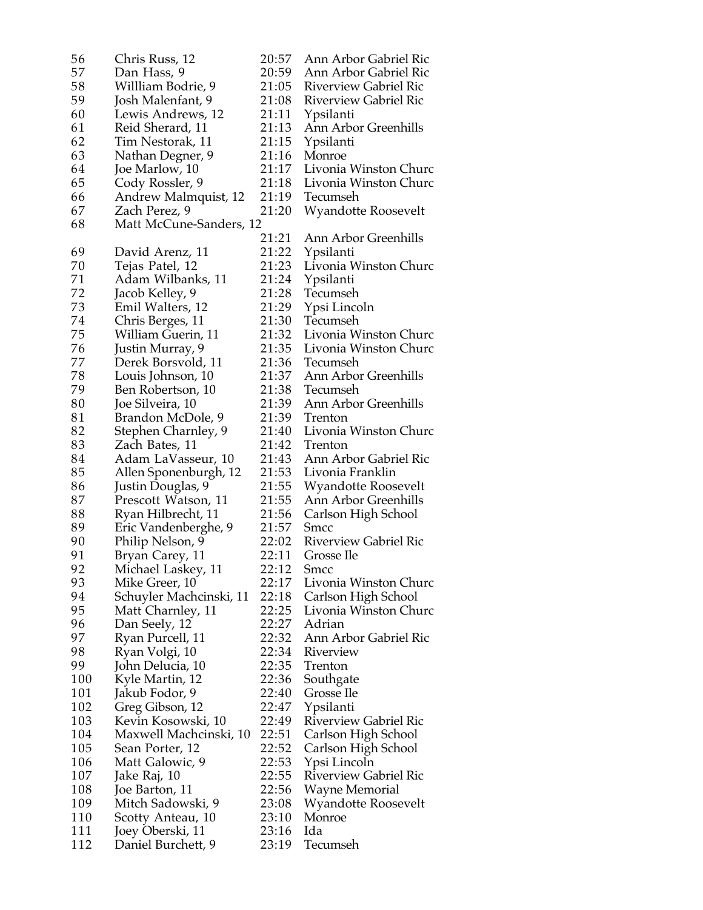| 56  | Chris Russ, 12          | 20:57 | Ann Arbor Gabriel Ric        |
|-----|-------------------------|-------|------------------------------|
| 57  | Dan Hass, 9             | 20:59 | Ann Arbor Gabriel Ric        |
| 58  |                         | 21:05 | <b>Riverview Gabriel Ric</b> |
|     | Willliam Bodrie, 9      |       |                              |
| 59  | Josh Malenfant, 9       | 21:08 | <b>Riverview Gabriel Ric</b> |
| 60  | Lewis Andrews, 12       | 21:11 | Ypsilanti                    |
| 61  | Reid Sherard, 11        | 21:13 | Ann Arbor Greenhills         |
| 62  | Tim Nestorak, 11        | 21:15 | Ypsilanti                    |
| 63  | Nathan Degner, 9        | 21:16 | Monroe                       |
| 64  | Joe Marlow, 10          | 21:17 | Livonia Winston Churc        |
| 65  | Cody Rossler, 9         | 21:18 | Livonia Winston Churc        |
| 66  |                         | 21:19 | Tecumseh                     |
|     | Andrew Malmquist, 12    |       |                              |
| 67  | Zach Perez, 9           | 21:20 | <b>Wyandotte Roosevelt</b>   |
| 68  | Matt McCune-Sanders, 12 |       |                              |
|     |                         | 21:21 | Ann Arbor Greenhills         |
| 69  | David Arenz, 11         | 21:22 | Ypsilanti                    |
| 70  | Tejas Patel, 12         | 21:23 | Livonia Winston Churc        |
| 71  | Adam Wilbanks, 11       | 21:24 | Ypsilanti                    |
| 72  | Jacob Kelley, 9         | 21:28 | Tecumseh                     |
| 73  | Emil Walters, 12        | 21:29 | Ypsi Lincoln                 |
| 74  |                         | 21:30 | Tecumseh                     |
|     | Chris Berges, 11        |       |                              |
| 75  | William Guerin, 11      | 21:32 | Livonia Winston Churc        |
| 76  | Justin Murray, 9        | 21:35 | Livonia Winston Churc        |
| 77  | Derek Borsvold, 11      | 21:36 | Tecumseh                     |
| 78  | Louis Johnson, 10       | 21:37 | Ann Arbor Greenhills         |
| 79  | Ben Robertson, 10       | 21:38 | Tecumseh                     |
| 80  | Joe Silveira, 10        | 21:39 | Ann Arbor Greenhills         |
| 81  | Brandon McDole, 9       | 21:39 | Trenton                      |
| 82  | Stephen Charnley, 9     | 21:40 | Livonia Winston Churc        |
| 83  | Zach Bates, 11          | 21:42 | <b>Trenton</b>               |
|     |                         |       |                              |
| 84  | Adam LaVasseur, 10      | 21:43 | Ann Arbor Gabriel Ric        |
| 85  | Allen Sponenburgh, 12   | 21:53 | Livonia Franklin             |
| 86  | Justin Douglas, 9       | 21:55 | Wyandotte Roosevelt          |
| 87  | Prescott Watson, 11     | 21:55 | Ann Arbor Greenhills         |
| 88  | Ryan Hilbrecht, 11      | 21:56 | Carlson High School          |
| 89  | Eric Vandenberghe, 9    | 21:57 | Smcc                         |
| 90  | Philip Nelson, 9        | 22:02 | <b>Riverview Gabriel Ric</b> |
| 91  | Bryan Carey, 11         | 22:11 | Grosse Ile                   |
| 92  | Michael Laskey, 11      | 22:12 | <b>Smcc</b>                  |
|     |                         |       |                              |
| 93  | Mike Greer, 10          | 22:17 | Livonia Winston Churc        |
| 94  | Schuyler Machcinski, 11 | 22:18 | Carlson High School          |
| 95  | Matt Charnley, 11       | 22:25 | Livonia Winston Churc        |
| 96  | Dan Seely, 12           | 22:27 | Adrian                       |
| 97  | Ryan Purcell, 11        | 22:32 | Ann Arbor Gabriel Ric        |
| 98  | Ryan Volgi, 10          | 22:34 | Riverview                    |
| 99  | John Delucia, 10        | 22:35 | Trenton                      |
| 100 | Kyle Martin, 12         | 22:36 | Southgate                    |
| 101 | Jakub Fodor, 9          | 22:40 | Grosse Ile                   |
| 102 |                         | 22:47 | Ypsilanti                    |
|     | Greg Gibson, 12         |       |                              |
| 103 | Kevin Kosowski, 10      | 22:49 | Riverview Gabriel Ric        |
| 104 | Maxwell Machcinski, 10  | 22:51 | Carlson High School          |
| 105 | Sean Porter, 12         | 22:52 | Carlson High School          |
| 106 | Matt Galowic, 9         | 22:53 | Ypsi Lincoln                 |
| 107 | Jake Raj, 10            | 22:55 | Riverview Gabriel Ric        |
| 108 | Joe Barton, 11          | 22:56 | Wayne Memorial               |
| 109 | Mitch Sadowski, 9       | 23:08 | Wyandotte Roosevelt          |
| 110 | Scotty Anteau, 10       | 23:10 | Monroe                       |
| 111 |                         |       | Ida                          |
|     | Joey Oberski, 11        | 23:16 |                              |
| 112 | Daniel Burchett, 9      | 23:19 | Tecumseh                     |